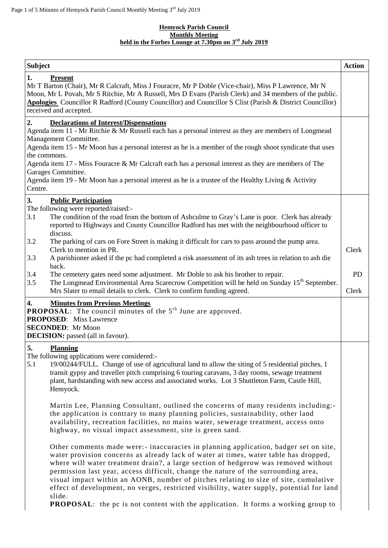#### **Hemyock Parish Council Monthly Meeting held in the Forbes Lounge at 7.30pm on 3 rd July 2019**

| <b>Subject</b>                                                                                                                                                                                                                                                                                                                                                                                                                                                                                                                                                                                                                                      | <b>Action</b>      |
|-----------------------------------------------------------------------------------------------------------------------------------------------------------------------------------------------------------------------------------------------------------------------------------------------------------------------------------------------------------------------------------------------------------------------------------------------------------------------------------------------------------------------------------------------------------------------------------------------------------------------------------------------------|--------------------|
| 1.<br><b>Present</b><br>Mr T Barton (Chair), Mr R Calcraft, Miss J Fouracre, Mr P Doble (Vice-chair), Miss P Lawrence, Mr N<br>Moon, Mr L Povah, Mr S Ritchie, Mr A Russell, Mrs D Evans (Parish Clerk) and 34 members of the public.<br>Apologies Councillor R Radford (County Councillor) and Councillor S Clist (Parish & District Councillor)<br>received and accepted.                                                                                                                                                                                                                                                                         |                    |
| 2.<br><b>Declarations of Interest/Dispensations</b><br>Agenda item 11 - Mr Ritchie & Mr Russell each has a personal interest as they are members of Longmead<br>Management Committee.<br>Agenda item 15 - Mr Moon has a personal interest as he is a member of the rough shoot syndicate that uses<br>the commons.<br>Agenda item 17 - Miss Fouracre & Mr Calcraft each has a personal interest as they are members of The<br>Garages Committee.<br>Agenda item 19 - Mr Moon has a personal interest as he is a trustee of the Healthy Living & Activity<br>Centre.                                                                                 |                    |
| 3.<br><b>Public Participation</b><br>The following were reported/raised:-<br>3.1<br>The condition of the road from the bottom of Ashculme to Gray's Lane is poor. Clerk has already<br>reported to Highways and County Councillor Radford has met with the neighbourhood officer to<br>discuss.                                                                                                                                                                                                                                                                                                                                                     |                    |
| 3.2<br>The parking of cars on Fore Street is making it difficult for cars to pass around the pump area.<br>Clerk to mention in PR.<br>3.3<br>A parishioner asked if the pc had completed a risk assessment of its ash trees in relation to ash die                                                                                                                                                                                                                                                                                                                                                                                                  | Clerk              |
| back.<br>3.4<br>The cemetery gates need some adjustment. Mr Doble to ask his brother to repair.<br>3.5<br>The Longmead Environmental Area Scarecrow Competition will be held on Sunday 15 <sup>th</sup> September.<br>Mrs Slater to email details to clerk. Clerk to confirm funding agreed.                                                                                                                                                                                                                                                                                                                                                        | <b>PD</b><br>Clerk |
| 4.<br><b>Minutes from Previous Meetings</b><br><b>PROPOSAL:</b> The council minutes of the $5th$ June are approved.<br><b>PROPOSED:</b> Miss Lawrence<br><b>SECONDED:</b> Mr Moon<br><b>DECISION:</b> passed (all in favour).                                                                                                                                                                                                                                                                                                                                                                                                                       |                    |
| 5.<br><b>Planning</b><br>The following applications were considered:-<br>5.1<br>19/00244/FULL. Change of use of agricultural land to allow the siting of 5 residential pitches, 1<br>transit gypsy and traveller pitch comprising 6 touring caravans, 3 day rooms, sewage treatment<br>plant, hardstanding with new access and associated works. Lot 3 Shuttleton Farm, Castle Hill,<br>Hemyock.                                                                                                                                                                                                                                                    |                    |
| Martin Lee, Planning Consultant, outlined the concerns of many residents including:-<br>the application is contrary to many planning policies, sustainability, other land<br>availability, recreation facilities, no mains water, sewerage treatment, access onto<br>highway, no visual impact assessment, site is green sand.                                                                                                                                                                                                                                                                                                                      |                    |
| Other comments made were:- inaccuracies in planning application, badger set on site,<br>water provision concerns as already lack of water at times, water table has dropped,<br>where will water treatment drain?, a large section of hedgerow was removed without<br>permission last year, access difficult, change the nature of the surrounding area,<br>visual impact within an AONB, number of pitches relating to size of site, cumulative<br>effect of development, no verges, restricted visibility, water supply, potential for land<br>slide.<br><b>PROPOSAL:</b> the pc is not content with the application. It forms a working group to |                    |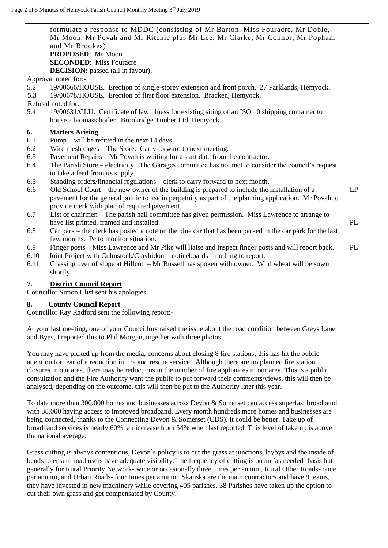|     | formulate a response to MDDC (consisting of Mr Barton, Miss Fouracre, Mr Doble,<br>Mr Moon, Mr Povah and Mr Ritchie plus Mr Lee, Mr Clarke, Mr Connor, Mr Popham<br>and Mr Brookes)<br>PROPOSED: Mr Moon<br><b>SECONDED:</b> Miss Fouracre                                                                                                                                                                                                                |    |
|-----|-----------------------------------------------------------------------------------------------------------------------------------------------------------------------------------------------------------------------------------------------------------------------------------------------------------------------------------------------------------------------------------------------------------------------------------------------------------|----|
|     | <b>DECISION:</b> passed (all in favour).                                                                                                                                                                                                                                                                                                                                                                                                                  |    |
|     | Approval noted for:-                                                                                                                                                                                                                                                                                                                                                                                                                                      |    |
| 5.2 | 19/00666/HOUSE. Erection of single-storey extension and front porch. 27 Parklands, Hemyock.                                                                                                                                                                                                                                                                                                                                                               |    |
| 5.3 | 19/00678/HOUSE. Erection of first floor extension. Bracken, Hemyock.                                                                                                                                                                                                                                                                                                                                                                                      |    |
|     | Refusal noted for:-                                                                                                                                                                                                                                                                                                                                                                                                                                       |    |
| 5.4 | 19/00631/CLU. Certificate of lawfulness for existing siting of an ISO 10 shipping container to<br>house a biomass boiler. Brookridge Timber Ltd, Hemyock.                                                                                                                                                                                                                                                                                                 |    |
| 6.  | <b>Matters Arising</b>                                                                                                                                                                                                                                                                                                                                                                                                                                    |    |
| 6.1 | Pump – will be refitted in the next $14$ days.                                                                                                                                                                                                                                                                                                                                                                                                            |    |
| 6.2 | Wire mesh cages – The Store. Carry forward to next meeting.                                                                                                                                                                                                                                                                                                                                                                                               |    |
| 6.3 | Pavement Repairs – Mr Povah is waiting for a start date from the contractor.                                                                                                                                                                                                                                                                                                                                                                              |    |
| 6.4 | The Parish Store - electricity. The Garages committee has not met to consider the council's request                                                                                                                                                                                                                                                                                                                                                       |    |
|     | to take a feed from its supply.                                                                                                                                                                                                                                                                                                                                                                                                                           |    |
| 6.5 | Standing orders/financial regulations - clerk to carry forward to next month.                                                                                                                                                                                                                                                                                                                                                                             |    |
| 6.6 | Old School Court – the new owner of the building is prepared to include the installation of a                                                                                                                                                                                                                                                                                                                                                             | LP |
|     | pavement for the general public to use in perpetuity as part of the planning application. Mr Povah to                                                                                                                                                                                                                                                                                                                                                     |    |
|     | provide clerk with plan of required pavement.                                                                                                                                                                                                                                                                                                                                                                                                             |    |
| 6.7 | List of chairmen – The parish hall committee has given permission. Miss Lawrence to arrange to                                                                                                                                                                                                                                                                                                                                                            |    |
|     | have list printed, framed and installed.                                                                                                                                                                                                                                                                                                                                                                                                                  | PL |
| 6.8 | Car park – the clerk has posted a note on the blue car that has been parked in the car park for the last                                                                                                                                                                                                                                                                                                                                                  |    |
|     | few months. Pc to monitor situation.                                                                                                                                                                                                                                                                                                                                                                                                                      |    |
| 6.9 | Finger posts – Miss Lawrence and Mr Pike will liaise and inspect finger posts and will report back.                                                                                                                                                                                                                                                                                                                                                       | PL |
|     | 6.10<br>Joint Project with Culmstock/Clayhidon – noticeboards – nothing to report.                                                                                                                                                                                                                                                                                                                                                                        |    |
|     | 6.11<br>Grassing over of slope at Hillcott - Mr Russell has spoken with owner. Wild wheat will be sown                                                                                                                                                                                                                                                                                                                                                    |    |
|     | shortly.                                                                                                                                                                                                                                                                                                                                                                                                                                                  |    |
| 7.  | <b>District Council Report</b>                                                                                                                                                                                                                                                                                                                                                                                                                            |    |
|     | Councillor Simon Clist sent his apologies.                                                                                                                                                                                                                                                                                                                                                                                                                |    |
| 8.  | <b>County Council Report</b><br>Councillor Ray Radford sent the following report:-                                                                                                                                                                                                                                                                                                                                                                        |    |
|     | At your last meeting, one of your Councillors raised the issue about the road condition between Greys Lane<br>and Byes, I reported this to Phil Morgan, together with three photos.                                                                                                                                                                                                                                                                       |    |
|     | You may have picked up from the media, concerns about closing 8 fire stations; this has hit the public<br>attention for fear of a reduction in fire and rescue service. Although there are no planned fire station<br>closures in our area, there may be reductions in the number of fire appliances in our area. This is a public<br>consultation and the Fire Authority want the public to put forward their comments/views, this will then be          |    |
|     | analysed, depending on the outcome, this will then be put to the Authority later this year.                                                                                                                                                                                                                                                                                                                                                               |    |
|     | To date more than 300,000 homes and businesses across Devon $\&$ Somerset can access superfast broadband<br>with 38,000 having access to improved broadband. Every month hundreds more homes and businesses are<br>being connected, thanks to the Connecting Devon & Somerset (CDS). It could be better. Take up of<br>broadband services is nearly 60%, an increase from 54% when last reported. This level of take up is above<br>the national average. |    |
|     | Grass cutting is always contentious, Devon's policy is to cut the grass at junctions, laybys and the inside of<br>bends to ensure road users have adequate visibility. The frequency of cutting is on an `as needed` basis but<br>generally for Rural Priority Network-twice or occasionally three times per annum, Rural Other Roads- once<br>per annum, and Urban Roads- four times per annum. Skanska are the main contractors and have 9 teams,       |    |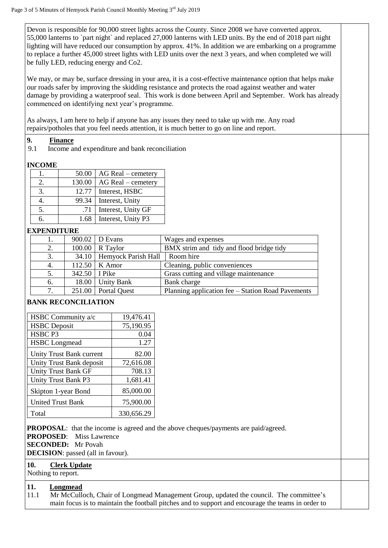Devon is responsible for 90,000 street lights across the County. Since 2008 we have converted approx. 55,000 lanterns to `part night` and replaced 27,000 lanterns with LED units. By the end of 2018 part night lighting will have reduced our consumption by approx. 41%. In addition we are embarking on a programme to replace a further 45,000 street lights with LED units over the next 3 years, and when completed we will be fully LED, reducing energy and Co2.

We may, or may be, surface dressing in your area, it is a cost-effective maintenance option that helps make our roads safer by improving the skidding resistance and protects the road against weather and water damage by providing a waterproof seal. This work is done between April and September. Work has already commenced on identifying next year's programme.

As always, I am here to help if anyone has any issues they need to take up with me. Any road repairs/potholes that you feel needs attention, it is much better to go on line and report.

## **9. Finance**

9.1 Income and expenditure and bank reconciliation

# **INCOME**

|    | 50.00  | $AG Real$ – cemetery |
|----|--------|----------------------|
| 2. | 130.00 | $AG Real$ – cemetery |
| 3. | 12.77  | Interest, HSBC       |
|    | 99.34  | Interest, Unity      |
| 5. | .71    | Interest, Unity GF   |
| რ. | 1.68   | Interest, Unity P3   |

## **EXPENDITURE**

|    |                 | 900.02 D Evans              | Wages and expenses                                |
|----|-----------------|-----------------------------|---------------------------------------------------|
| 2. |                 | $100.00$ R Taylor           | BMX strim and tidy and flood bridge tidy          |
| 3. |                 | 34.10   Hemyock Parish Hall | Room hire                                         |
| 4. |                 | $112.50$ K Amor             | Cleaning, public conveniences                     |
| 5. | 342.50   I Pike |                             | Grass cutting and village maintenance             |
| 6. | 18.00           | <b>Unity Bank</b>           | Bank charge                                       |
| 7. |                 | 251.00 Portal Quest         | Planning application fee – Station Road Pavements |

# **BANK RECONCILIATION**

| HSBC Community a/c       | 19,476.41  |
|--------------------------|------------|
| <b>HSBC</b> Deposit      | 75,190.95  |
| HSBC <sub>P3</sub>       | 0.04       |
| <b>HSBC</b> Longmead     | 1.27       |
| Unity Trust Bank current | 82.00      |
| Unity Trust Bank deposit | 72,616.08  |
| Unity Trust Bank GF      | 708.13     |
| Unity Trust Bank P3      | 1,681.41   |
| Skipton 1-year Bond      | 85,000.00  |
| <b>United Trust Bank</b> | 75,900.00  |
| Total                    | 330,656.29 |

**PROPOSAL**: that the income is agreed and the above cheques/payments are paid/agreed.

**PROPOSED**: Miss Lawrence

**SECONDED:** Mr Povah

**DECISION**: passed (all in favour).

#### **10. Clerk Update**

Nothing to report.

### **11. Longmead**

11.1 Mr McCulloch, Chair of Longmead Management Group, updated the council. The committee's main focus is to maintain the football pitches and to support and encourage the teams in order to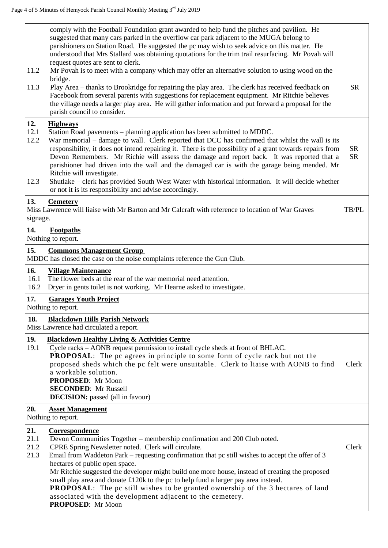|                             | comply with the Football Foundation grant awarded to help fund the pitches and pavilion. He<br>suggested that many cars parked in the overflow car park adjacent to the MUGA belong to<br>parishioners on Station Road. He suggested the pc may wish to seek advice on this matter. He<br>understood that Mrs Stallard was obtaining quotations for the trim trail resurfacing. Mr Povah will<br>request quotes are sent to clerk.                                                                                                                                                                                                                           |                        |
|-----------------------------|--------------------------------------------------------------------------------------------------------------------------------------------------------------------------------------------------------------------------------------------------------------------------------------------------------------------------------------------------------------------------------------------------------------------------------------------------------------------------------------------------------------------------------------------------------------------------------------------------------------------------------------------------------------|------------------------|
| 11.2<br>11.3                | Mr Povah is to meet with a company which may offer an alternative solution to using wood on the<br>bridge.<br>Play Area – thanks to Brookridge for repairing the play area. The clerk has received feedback on<br>Facebook from several parents with suggestions for replacement equipment. Mr Ritchie believes<br>the village needs a larger play area. He will gather information and put forward a proposal for the                                                                                                                                                                                                                                       | <b>SR</b>              |
|                             | parish council to consider.                                                                                                                                                                                                                                                                                                                                                                                                                                                                                                                                                                                                                                  |                        |
| 12.<br>12.1<br>12.2<br>12.3 | <b>Highways</b><br>Station Road pavements - planning application has been submitted to MDDC.<br>War memorial – damage to wall. Clerk reported that DCC has confirmed that whilst the wall is its<br>responsibility, it does not intend repairing it. There is the possibility of a grant towards repairs from<br>Devon Remembers. Mr Richie will assess the damage and report back. It was reported that a<br>parishioner had driven into the wall and the damaged car is with the garage being mended. Mr<br>Ritchie will investigate.<br>Shutlake – clerk has provided South West Water with historical information. It will decide whether                | <b>SR</b><br><b>SR</b> |
|                             | or not it is its responsibility and advise accordingly.                                                                                                                                                                                                                                                                                                                                                                                                                                                                                                                                                                                                      |                        |
| 13.<br>signage.             | <b>Cemetery</b><br>Miss Lawrence will liaise with Mr Barton and Mr Calcraft with reference to location of War Graves                                                                                                                                                                                                                                                                                                                                                                                                                                                                                                                                         | TB/PL                  |
| 14.                         | <b>Footpaths</b><br>Nothing to report.                                                                                                                                                                                                                                                                                                                                                                                                                                                                                                                                                                                                                       |                        |
| 15.                         | <b>Commons Management Group</b><br>MDDC has closed the case on the noise complaints reference the Gun Club.                                                                                                                                                                                                                                                                                                                                                                                                                                                                                                                                                  |                        |
| 16.<br>16.1<br>16.2         | <b>Village Maintenance</b><br>The flower beds at the rear of the war memorial need attention.<br>Dryer in gents toilet is not working. Mr Hearne asked to investigate.                                                                                                                                                                                                                                                                                                                                                                                                                                                                                       |                        |
| 17.                         | <b>Garages Youth Project</b><br>Nothing to report.                                                                                                                                                                                                                                                                                                                                                                                                                                                                                                                                                                                                           |                        |
| 18.                         | <b>Blackdown Hills Parish Network</b><br>Miss Lawrence had circulated a report.                                                                                                                                                                                                                                                                                                                                                                                                                                                                                                                                                                              |                        |
| 19.<br>19.1                 | <b>Blackdown Healthy Living &amp; Activities Centre</b><br>Cycle racks - AONB request permission to install cycle sheds at front of BHLAC.<br><b>PROPOSAL:</b> The pc agrees in principle to some form of cycle rack but not the<br>proposed sheds which the pc felt were unsuitable. Clerk to liaise with AONB to find<br>a workable solution.<br>PROPOSED: Mr Moon<br><b>SECONDED:</b> Mr Russell<br><b>DECISION:</b> passed (all in favour)                                                                                                                                                                                                               | Clerk                  |
| 20.                         | <b>Asset Management</b><br>Nothing to report.                                                                                                                                                                                                                                                                                                                                                                                                                                                                                                                                                                                                                |                        |
| 21.<br>21.1<br>21.2<br>21.3 | Correspondence<br>Devon Communities Together - membership confirmation and 200 Club noted.<br>CPRE Spring Newsletter noted. Clerk will circulate.<br>Email from Waddeton Park – requesting confirmation that pc still wishes to accept the offer of 3<br>hectares of public open space.<br>Mr Ritchie suggested the developer might build one more house, instead of creating the proposed<br>small play area and donate £120k to the pc to help fund a larger pay area instead.<br><b>PROPOSAL:</b> The pc still wishes to be granted ownership of the 3 hectares of land<br>associated with the development adjacent to the cemetery.<br>PROPOSED: Mr Moon | Clerk                  |